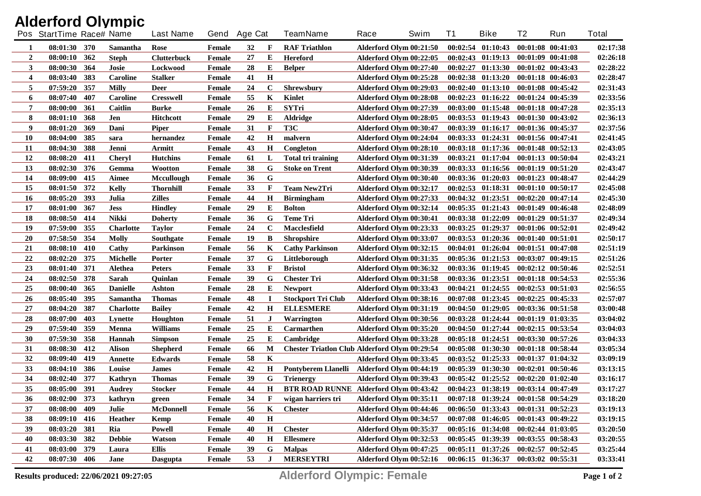| <b>Alderford Olympic</b> |                          |     |                  |                    |               |                |              |                                                      |                         |      |           |                       |                       |                   |              |
|--------------------------|--------------------------|-----|------------------|--------------------|---------------|----------------|--------------|------------------------------------------------------|-------------------------|------|-----------|-----------------------|-----------------------|-------------------|--------------|
|                          | Pos StartTime Race# Name |     |                  | <b>Last Name</b>   | Gend          | <b>Age Cat</b> |              | <b>TeamName</b>                                      | Race                    | Swim | <b>T1</b> | <b>Bike</b>           | T <sub>2</sub>        | Run               | <b>Total</b> |
| -1                       | 08:01:30 370             |     | Samantha         | Rose               | Female        | 32             | F            | <b>RAF Triathlon</b>                                 | Alderford Olym 00:21:50 |      |           | $00:02:54$ $01:10:43$ | 00:01:08 00:41:03     |                   | 02:17:38     |
| $\boldsymbol{2}$         | 08:00:10                 | 362 | <b>Steph</b>     | <b>Clutterbuck</b> | Female        | 27             | Е            | Hereford                                             | Alderford Olym 00:22:05 |      |           | $00:02:43$ $01:19:13$ | 00:01:09 00:41:08     |                   | 02:26:18     |
| 3                        | 08:00:30                 | 364 | Josie            | Lockwood           | Female        | 28             | Е            | <b>Belper</b>                                        | Alderford Olym 00:27:40 |      |           | $00:02:27$ $01:13:30$ | $00:01:02$ $00:43:43$ |                   | 02:28:22     |
| 4                        | 08:03:40                 | 383 | <b>Caroline</b>  | <b>Stalker</b>     | Female        | 41             | H            |                                                      | Alderford Olym 00:25:28 |      |           | $00:02:38$ $01:13:20$ | 00:01:18 00:46:03     |                   | 02:28:47     |
| 5                        | 07:59:20                 | 357 | <b>Milly</b>     | <b>Deer</b>        | Female        | 24             | $\mathbf C$  | Shrewsbury                                           | Alderford Olym 00:29:03 |      |           | $00:02:40$ $01:13:10$ | 00:01:08 00:45:42     |                   | 02:31:43     |
| 6                        | 08:07:40                 | 407 | <b>Caroline</b>  | <b>Cresswell</b>   | Female        | 55             | K            | <b>Kinlet</b>                                        | Alderford Olym 00:28:08 |      |           | $00:02:23$ $01:16:22$ | 00:01:24 00:45:39     |                   | 02:33:56     |
| $\overline{7}$           | 08:00:00                 | 361 | Caitlin          | <b>Burke</b>       | Female        | 26             | Е            | <b>SYTri</b>                                         | Alderford Olym 00:27:39 |      |           | $00:03:00$ $01:15:48$ | 00:01:18 00:47:28     |                   | 02:35:13     |
| 8                        | 08:01:10                 | 368 | Jen              | Hitchcott          | Female        | 29             | Е            | <b>Aldridge</b>                                      | Alderford Olym 00:28:05 |      |           | $00:03:53$ $01:19:43$ | $00:01:30$ $00:43:02$ |                   | 02:36:13     |
| 9                        | 08:01:20                 | 369 | Dani             | <b>Piper</b>       | Female        | 31             | $\mathbf{F}$ | T3C                                                  | Alderford Olym 00:30:47 |      |           | $00:03:39$ $01:16:17$ | 00:01:36 00:45:37     |                   | 02:37:56     |
| 10                       | 08:04:00                 | 385 | sara             | hernandez          | Female        | 42             | H            | malvern                                              | Alderford Olym 00:24:04 |      |           | $00:03:33$ $01:24:31$ | 00:01:56 00:47:41     |                   | 02:41:45     |
| 11                       | 08:04:30                 | 388 | Jenni            | Armitt             | Female        | 43             | $\bf H$      | Congleton                                            | Alderford Olym 00:28:10 |      |           | $00:03:18$ $01:17:36$ | 00:01:48 00:52:13     |                   | 02:43:05     |
| 12                       | 08:08:20                 | 411 | <b>Cheryl</b>    | <b>Hutchins</b>    | Female        | 61             | L            | <b>Total tri training</b>                            | Alderford Olym 00:31:39 |      |           | 00:03:21 01:17:04     | 00:01:13 00:50:04     |                   | 02:43:21     |
| 13                       | 08:02:30                 | 376 | Gemma            | Wootton            | Female        | 38             | G            | <b>Stoke on Trent</b>                                | Alderford Olym 00:30:39 |      |           | $00:03:33$ $01:16:56$ | 00:01:19 00:51:20     |                   | 02:43:47     |
| 14                       | 08:09:00                 | 415 | Aimee            | Mccullough         | Female        | 36             | $\mathbf G$  |                                                      | Alderford Olym 00:30:40 |      |           | $00:03:36$ $01:20:03$ | 00:01:23 00:48:47     |                   | 02:44:29     |
| 15                       | 08:01:50                 | 372 | <b>Kelly</b>     | <b>Thornhill</b>   | Female        | 33             | $\mathbf{F}$ | <b>Team New2Tri</b>                                  | Alderford Olym 00:32:17 |      |           | 00:02:53 01:18:31     | 00:01:10 00:50:17     |                   | 02:45:08     |
| 16                       | 08:05:20                 | 393 | Julia            | <b>Zilles</b>      | Female        | 44             | $\mathbf H$  | <b>Birmingham</b>                                    | Alderford Olym 00:27:33 |      |           | $00:04:32$ $01:23:51$ | 00:02:20 00:47:14     |                   | 02:45:30     |
| 17                       | 08:01:00                 | 367 | <b>Jess</b>      | <b>Hindley</b>     | Female        | 29             | Е            | <b>Bolton</b>                                        | Alderford Olym 00:32:14 |      |           | $00:05:35$ $01:21:43$ | 00:01:49 00:46:48     |                   | 02:48:09     |
| 18                       | 08:08:50                 | 414 | Nikki            | <b>Doherty</b>     | Female        | 36             | G            | <b>Teme Tri</b>                                      | Alderford Olym 00:30:41 |      |           | 00:03:38 01:22:09     | 00:01:29 00:51:37     |                   | 02:49:34     |
| 19                       | 07:59:00                 | 355 | <b>Charlotte</b> | <b>Taylor</b>      | Female        | 24             | $\mathbf C$  | Macclesfield                                         | Alderford Olym 00:23:33 |      |           | 00:03:25 01:29:37     | 00:01:06 00:52:01     |                   | 02:49:42     |
| 20                       | 07:58:50                 | 354 | <b>Molly</b>     | Southgate          | Female        | 19             | B            | <b>Shropshire</b>                                    | Alderford Olym 00:33:07 |      |           | 00:03:53 01:20:36     | 00:01:40 00:51:01     |                   | 02:50:17     |
| 21                       | 08:08:10                 | 410 | Cathy            | <b>Parkinson</b>   | Female        | 56             | K            | <b>Cathy Parkinson</b>                               | Alderford Olym 00:32:15 |      |           | 00:04:01 01:26:04     | 00:01:51 00:47:08     |                   | 02:51:19     |
| 22                       | 08:02:20                 | 375 | <b>Michelle</b>  | Porter             | Female        | 37             | G            | Littleborough                                        | Alderford Olym 00:31:35 |      |           | 00:05:36 01:21:53     | 00:03:07 00:49:15     |                   | 02:51:26     |
| 23                       | 08:01:40                 | 371 | Alethea          | <b>Peters</b>      | <b>Female</b> | 33             | $\mathbf{F}$ | <b>Bristol</b>                                       | Alderford Olym 00:36:32 |      |           | 00:03:36 01:19:45     | 00:02:12 00:50:46     |                   | 02:52:51     |
| 24                       | 08:02:50                 | 378 | <b>Sarah</b>     | Quinlan            | Female        | 39             | G            | <b>Chester Tri</b>                                   | Alderford Olym 00:31:58 |      |           | 00:03:36 01:23:51     | 00:01:18 00:54:53     |                   | 02:55:36     |
| 25                       | 08:00:40                 | 365 | <b>Danielle</b>  | Ashton             | Female        | 28             | Е            | <b>Newport</b>                                       | Alderford Olym 00:33:43 |      | 00:04:21  | 01:24:55              | 00:02:53 00:51:03     |                   | 02:56:55     |
| 26                       | 08:05:40                 | 395 | Samantha         | <b>Thomas</b>      | Female        | 48             |              | <b>Stockport Tri Club</b>                            | Alderford Olym 00:38:16 |      |           | 00:07:08 01:23:45     | 00:02:25 00:45:33     |                   | 02:57:07     |
| 27                       | 08:04:20                 | 387 | <b>Charlotte</b> | <b>Bailey</b>      | Female        | 42             | $\mathbf H$  | <b>ELLESMERE</b>                                     | Alderford Olym 00:31:19 |      |           | $00:04:50$ $01:29:05$ | 00:03:36 00:51:58     |                   | 03:00:48     |
| 28                       | 08:07:00                 | 403 | Lynette          | Houghton           | Female        | 51             | $\mathbf{J}$ | Warrington                                           | Alderford Olym 00:30:56 |      |           | 00:03:28 01:24:44     | 00:01:19 01:03:35     |                   | 03:04:02     |
| 29                       | 07:59:40                 | 359 | Menna            | <b>Williams</b>    | Female        | 25             | Е            | Carmarthen                                           | Alderford Olym 00:35:20 |      |           | 00:04:50 01:27:44     | 00:02:15 00:53:54     |                   | 03:04:03     |
| 30                       | 07:59:30                 | 358 | Hannah           | <b>Simpson</b>     | Female        | 25             | Е            | Cambridge                                            | Alderford Olym 00:33:28 |      |           | $00:05:18$ $01:24:51$ | 00:03:30 00:57:26     |                   | 03:04:33     |
| 31                       | 08:08:30                 | 412 | <b>Alison</b>    | <b>Shepherd</b>    | Female        | 66             | M            | <b>Chester Triation Club Alderford Olym 00:29:54</b> |                         |      |           | $00:05:08$ $01:30:30$ | 00:01:18 00:58:44     |                   | 03:05:34     |
| 32                       | 08:09:40                 | 419 | Annette          | <b>Edwards</b>     | Female        | 58             | $\mathbf K$  |                                                      | Alderford Olym 00:33:45 |      |           | 00:03:52 01:25:33     | 00:01:37 01:04:32     |                   | 03:09:19     |
| 33                       | 08:04:10                 | 386 | Louise           | <b>James</b>       | Female        | 42             | $\mathbf H$  | Pontyberem Llanelli                                  | Alderford Olym 00:44:19 |      | 00:05:39  | 01:30:30              |                       | 00:02:01 00:50:46 | 03:13:15     |
| 34                       | 08:02:40 377             |     | Kathryn          | <b>Thomas</b>      | Female        | 39             | G            | <b>Trienergy</b>                                     | Alderford Olym 00:39:43 |      |           | $00:05:42$ $01:25:52$ | $00:02:20$ $01:02:40$ |                   | 03:16:17     |
| 35                       | 08:05:00 391             |     | <b>Audrey</b>    | <b>Stocker</b>     | Female        | 44             | H            | BTR ROAD RUNNE Alderford Olym 00:43:42               |                         |      |           | $00:04:23$ $01:38:19$ | 00:03:14 00:47:49     |                   | 03:17:27     |
| 36                       | 08:02:00                 | 373 | kathryn          | green              | Female        | 34             | F            | wigan harriers tri                                   | Alderford Olym 00:35:11 |      |           | 00:07:18 01:39:24     | 00:01:58 00:54:29     |                   | 03:18:20     |
| 37                       | 08:08:00                 | 409 | Julie            | <b>McDonnell</b>   | Female        | 56             | K            | <b>Chester</b>                                       | Alderford Olym 00:44:46 |      |           | $00:06:50$ $01:33:43$ | 00:01:31 00:52:23     |                   | 03:19:13     |
| 38                       | 08:09:10                 | 416 | <b>Heather</b>   | Kemp               | Female        | 40             | $\bf H$      |                                                      | Alderford Olym 00:34:57 |      |           | $00:07:08$ 01:46:05   | $00:01:43$ $00:49:22$ |                   | 03:19:15     |
| 39                       | 08:03:20                 | 381 | Ria              | <b>Powell</b>      | Female        | 40             | $\bf H$      | <b>Chester</b>                                       | Alderford Olym 00:35:37 |      |           | 00:05:16 01:34:08     | 00:02:44 01:03:05     |                   | 03:20:50     |
| 40                       | 08:03:30                 | 382 | <b>Debbie</b>    | Watson             | Female        | 40             | Η            | <b>Ellesmere</b>                                     | Alderford Olym 00:32:53 |      |           | $00:05:45$ $01:39:39$ | 00:03:55 00:58:43     |                   | 03:20:55     |
| 41                       | 08:03:00                 | 379 | Laura            | Ellis              | Female        | 39             | G            | <b>Malpas</b>                                        | Alderford Olym 00:47:25 |      |           | $00:05:11$ $01:37:26$ | 00:02:57 00:52:45     |                   | 03:25:44     |
| 42                       | 08:07:30                 | 406 | Jane             | Dasgupta           | Female        | 53             | J            | <b>MERSEYTRI</b>                                     | Alderford Olym 00:52:16 |      |           | $00:06:15$ $01:36:37$ | 00:03:02 00:55:31     |                   | 03:33:41     |